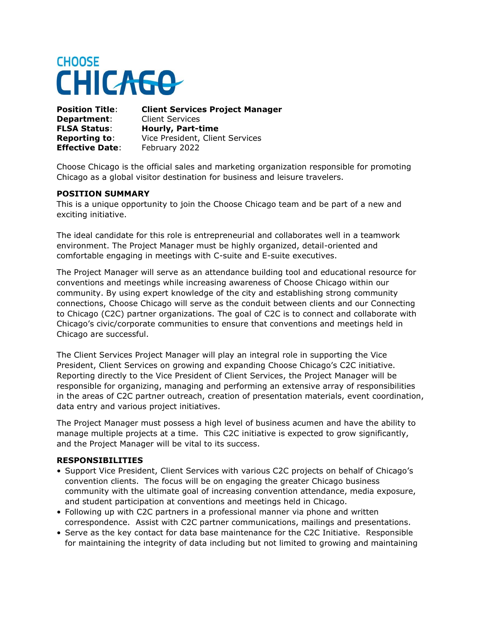# **CHOOSE CHICAGO**

**Department:** Client Services **FLSA Status**: **Hourly, Part-time Effective Date:** February 2022

**Position Title**: **Client Services Project Manager Reporting to**: Vice President, Client Services

Choose Chicago is the official sales and marketing organization responsible for promoting Chicago as a global visitor destination for business and leisure travelers.

### **POSITION SUMMARY**

This is a unique opportunity to join the Choose Chicago team and be part of a new and exciting initiative.

The ideal candidate for this role is entrepreneurial and collaborates well in a teamwork environment. The Project Manager must be highly organized, detail-oriented and comfortable engaging in meetings with C-suite and E-suite executives.

The Project Manager will serve as an attendance building tool and educational resource for conventions and meetings while increasing awareness of Choose Chicago within our community. By using expert knowledge of the city and establishing strong community connections, Choose Chicago will serve as the conduit between clients and our Connecting to Chicago (C2C) partner organizations. The goal of C2C is to connect and collaborate with Chicago's civic/corporate communities to ensure that conventions and meetings held in Chicago are successful.

The Client Services Project Manager will play an integral role in supporting the Vice President, Client Services on growing and expanding Choose Chicago's C2C initiative. Reporting directly to the Vice President of Client Services, the Project Manager will be responsible for organizing, managing and performing an extensive array of responsibilities in the areas of C2C partner outreach, creation of presentation materials, event coordination, data entry and various project initiatives.

The Project Manager must possess a high level of business acumen and have the ability to manage multiple projects at a time. This C2C initiative is expected to grow significantly, and the Project Manager will be vital to its success.

#### **RESPONSIBILITIES**

- Support Vice President, Client Services with various C2C projects on behalf of Chicago's convention clients. The focus will be on engaging the greater Chicago business community with the ultimate goal of increasing convention attendance, media exposure, and student participation at conventions and meetings held in Chicago.
- Following up with C2C partners in a professional manner via phone and written correspondence. Assist with C2C partner communications, mailings and presentations.
- Serve as the key contact for data base maintenance for the C2C Initiative. Responsible for maintaining the integrity of data including but not limited to growing and maintaining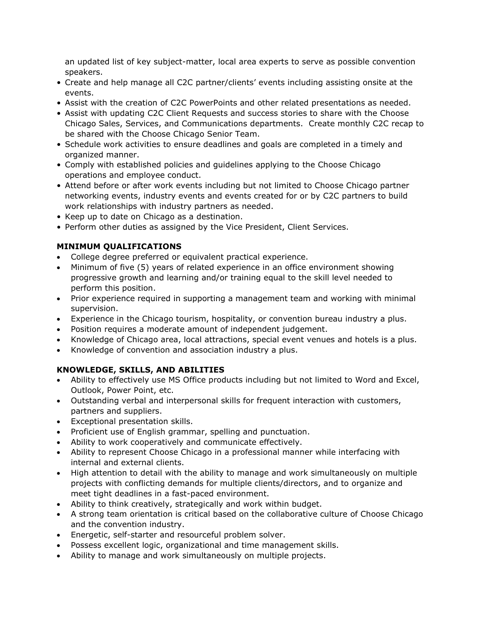an updated list of key subject-matter, local area experts to serve as possible convention speakers.

- Create and help manage all C2C partner/clients' events including assisting onsite at the events.
- Assist with the creation of C2C PowerPoints and other related presentations as needed.
- Assist with updating C2C Client Requests and success stories to share with the Choose Chicago Sales, Services, and Communications departments. Create monthly C2C recap to be shared with the Choose Chicago Senior Team.
- Schedule work activities to ensure deadlines and goals are completed in a timely and organized manner.
- Comply with established policies and guidelines applying to the Choose Chicago operations and employee conduct.
- Attend before or after work events including but not limited to Choose Chicago partner networking events, industry events and events created for or by C2C partners to build work relationships with industry partners as needed.
- Keep up to date on Chicago as a destination.
- Perform other duties as assigned by the Vice President, Client Services.

# **MINIMUM QUALIFICATIONS**

- College degree preferred or equivalent practical experience.
- Minimum of five (5) years of related experience in an office environment showing progressive growth and learning and/or training equal to the skill level needed to perform this position.
- Prior experience required in supporting a management team and working with minimal supervision.
- Experience in the Chicago tourism, hospitality, or convention bureau industry a plus.
- Position requires a moderate amount of independent judgement.
- Knowledge of Chicago area, local attractions, special event venues and hotels is a plus.
- Knowledge of convention and association industry a plus.

# **KNOWLEDGE, SKILLS, AND ABILITIES**

- Ability to effectively use MS Office products including but not limited to Word and Excel, Outlook, Power Point, etc.
- Outstanding verbal and interpersonal skills for frequent interaction with customers, partners and suppliers.
- Exceptional presentation skills.
- Proficient use of English grammar, spelling and punctuation.
- Ability to work cooperatively and communicate effectively.
- Ability to represent Choose Chicago in a professional manner while interfacing with internal and external clients.
- High attention to detail with the ability to manage and work simultaneously on multiple projects with conflicting demands for multiple clients/directors, and to organize and meet tight deadlines in a fast-paced environment.
- Ability to think creatively, strategically and work within budget.
- A strong team orientation is critical based on the collaborative culture of Choose Chicago and the convention industry.
- Energetic, self-starter and resourceful problem solver.
- Possess excellent logic, organizational and time management skills.
- Ability to manage and work simultaneously on multiple projects.